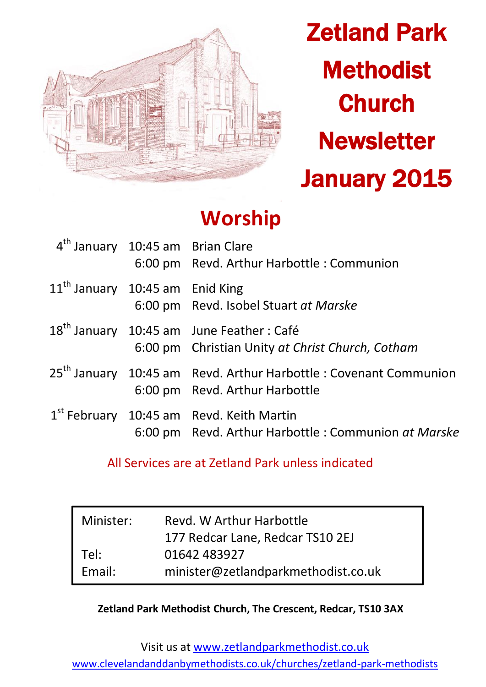

Zetland Park **Methodist Church Newsletter** January 2015

# **Worship**

| 4 <sup>th</sup> January 10:45 am Brian Clare | 6:00 pm Revd. Arthur Harbottle : Communion                                                                      |
|----------------------------------------------|-----------------------------------------------------------------------------------------------------------------|
| 11 <sup>th</sup> January 10:45 am Enid King  | 6:00 pm Revd. Isobel Stuart at Marske                                                                           |
|                                              | 18 <sup>th</sup> January 10:45 am June Feather: Café<br>6:00 pm Christian Unity at Christ Church, Cotham        |
|                                              | 25 <sup>th</sup> January 10:45 am Revd. Arthur Harbottle : Covenant Communion<br>6:00 pm Revd. Arthur Harbottle |
|                                              | $1st$ February 10:45 am Revd. Keith Martin<br>6:00 pm Revd. Arthur Harbottle: Communion at Marske               |

## All Services are at Zetland Park unless indicated

| Minister: | Revd. W Arthur Harbottle            |  |
|-----------|-------------------------------------|--|
|           | 177 Redcar Lane, Redcar TS10 2EJ    |  |
| Tel:      | 01642 483927                        |  |
| Email:    | minister@zetlandparkmethodist.co.uk |  |

#### **Zetland Park Methodist Church, The Crescent, Redcar, TS10 3AX**

Visit us at [www.zetlandparkmethodist.co.uk](file:///X:/Zetland%20Park/Newsletters/www.zetlandparkmethodist.co.uk) [www.clevelandanddanbymethodists.co.uk/churches/zetland-park-methodists](http://www.clevelandanddanbymethodists.co.uk/churches/zetland-park-methodists)